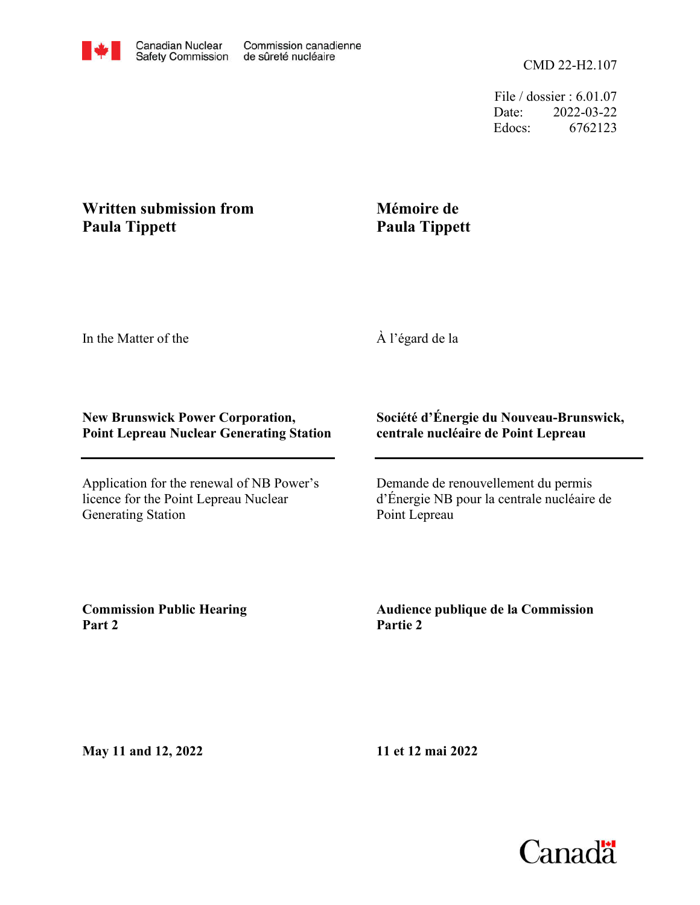File / dossier : 6.01.07 Date: 2022-03-22 Edocs: 6762123

# **Written submission from Paula Tippett**

# **Mémoire de Paula Tippett**

In the Matter of the

À l'égard de la

### **New Brunswick Power Corporation, Point Lepreau Nuclear Generating Station**

Application for the renewal of NB Power's licence for the Point Lepreau Nuclear Generating Station

## **Société d'Énergie du Nouveau-Brunswick, centrale nucléaire de Point Lepreau**

Demande de renouvellement du permis d'Énergie NB pour la centrale nucléaire de Point Lepreau

**Commission Public Hearing Part 2**

**Audience publique de la Commission Partie 2**

**May 11 and 12, 2022**

**11 et 12 mai 2022**

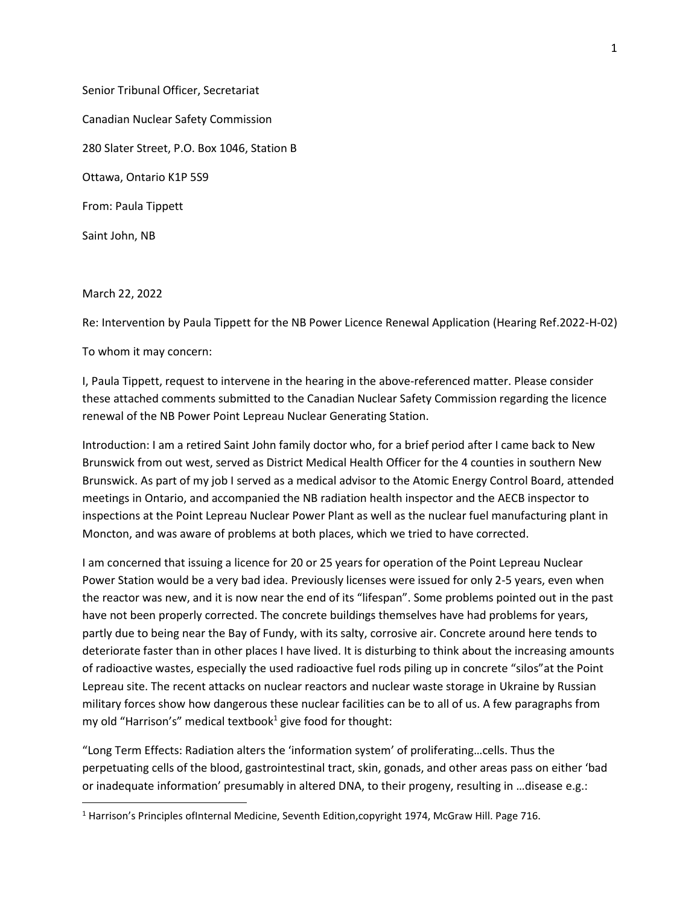Senior Tribunal Officer, Secretariat Canadian Nuclear Safety Commission 280 Slater Street, P.O. Box 1046, Station B Ottawa, Ontario K1P 5S9 From: Paula Tippett Saint John, NB

March 22, 2022

Re: Intervention by Paula Tippett for the NB Power Licence Renewal Application (Hearing Ref.2022-H-02)

To whom it may concern:

I, Paula Tippett, request to intervene in the hearing in the above-referenced matter. Please consider these attached comments submitted to the Canadian Nuclear Safety Commission regarding the licence renewal of the NB Power Point Lepreau Nuclear Generating Station.

Introduction: I am a retired Saint John family doctor who, for a brief period after I came back to New Brunswick from out west, served as District Medical Health Officer for the 4 counties in southern New Brunswick. As part of my job I served as a medical advisor to the Atomic Energy Control Board, attended meetings in Ontario, and accompanied the NB radiation health inspector and the AECB inspector to inspections at the Point Lepreau Nuclear Power Plant as well as the nuclear fuel manufacturing plant in Moncton, and was aware of problems at both places, which we tried to have corrected.

I am concerned that issuing a licence for 20 or 25 years for operation of the Point Lepreau Nuclear Power Station would be a very bad idea. Previously licenses were issued for only 2-5 years, even when the reactor was new, and it is now near the end of its "lifespan". Some problems pointed out in the past have not been properly corrected. The concrete buildings themselves have had problems for years, partly due to being near the Bay of Fundy, with its salty, corrosive air. Concrete around here tends to deteriorate faster than in other places I have lived. It is disturbing to think about the increasing amounts of radioactive wastes, especially the used radioactive fuel rods piling up in concrete "silos"at the Point Lepreau site. The recent attacks on nuclear reactors and nuclear waste storage in Ukraine by Russian military forces show how dangerous these nuclear facilities can be to all of us. A few paragraphs from my old "Harrison's" medical textbook $^1$  give food for thought:

"Long Term Effects: Radiation alters the 'information system' of proliferating…cells. Thus the perpetuating cells of the blood, gastrointestinal tract, skin, gonads, and other areas pass on either 'bad or inadequate information' presumably in altered DNA, to their progeny, resulting in …disease e.g.:

<sup>&</sup>lt;sup>1</sup> Harrison's Principles ofInternal Medicine, Seventh Edition, copyright 1974, McGraw Hill. Page 716.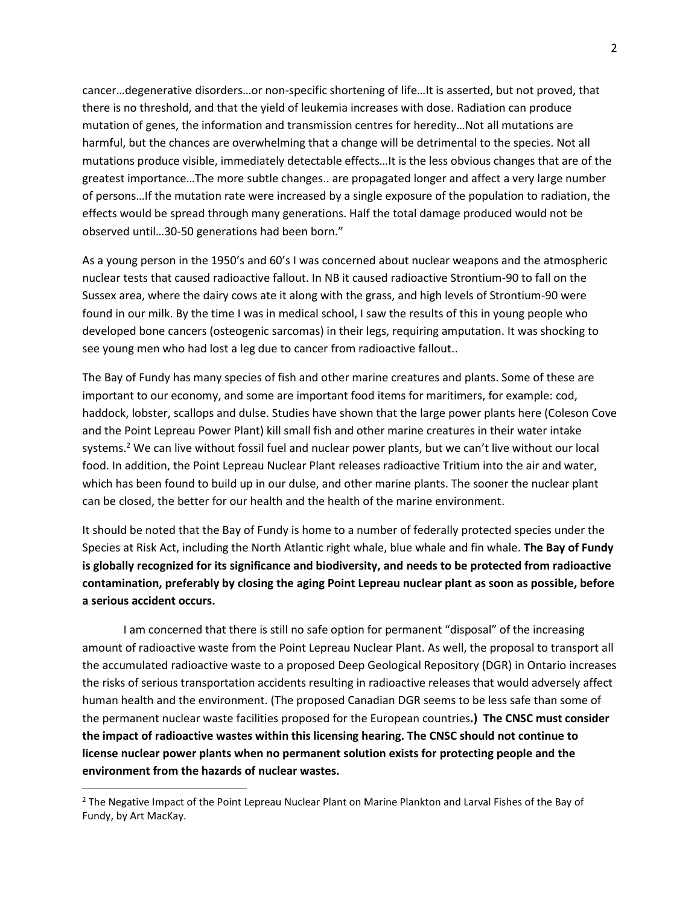cancer…degenerative disorders…or non-specific shortening of life…It is asserted, but not proved, that there is no threshold, and that the yield of leukemia increases with dose. Radiation can produce mutation of genes, the information and transmission centres for heredity…Not all mutations are harmful, but the chances are overwhelming that a change will be detrimental to the species. Not all mutations produce visible, immediately detectable effects…It is the less obvious changes that are of the greatest importance…The more subtle changes.. are propagated longer and affect a very large number of persons…If the mutation rate were increased by a single exposure of the population to radiation, the effects would be spread through many generations. Half the total damage produced would not be observed until…30-50 generations had been born."

As a young person in the 1950's and 60's I was concerned about nuclear weapons and the atmospheric nuclear tests that caused radioactive fallout. In NB it caused radioactive Strontium-90 to fall on the Sussex area, where the dairy cows ate it along with the grass, and high levels of Strontium-90 were found in our milk. By the time I was in medical school, I saw the results of this in young people who developed bone cancers (osteogenic sarcomas) in their legs, requiring amputation. It was shocking to see young men who had lost a leg due to cancer from radioactive fallout..

The Bay of Fundy has many species of fish and other marine creatures and plants. Some of these are important to our economy, and some are important food items for maritimers, for example: cod, haddock, lobster, scallops and dulse. Studies have shown that the large power plants here (Coleson Cove and the Point Lepreau Power Plant) kill small fish and other marine creatures in their water intake systems.<sup>2</sup> We can live without fossil fuel and nuclear power plants, but we can't live without our local food. In addition, the Point Lepreau Nuclear Plant releases radioactive Tritium into the air and water, which has been found to build up in our dulse, and other marine plants. The sooner the nuclear plant can be closed, the better for our health and the health of the marine environment.

It should be noted that the Bay of Fundy is home to a number of federally protected species under the Species at Risk Act, including the North Atlantic right whale, blue whale and fin whale. **The Bay of Fundy is globally recognized for its significance and biodiversity, and needs to be protected from radioactive contamination, preferably by closing the aging Point Lepreau nuclear plant as soon as possible, before a serious accident occurs.** 

I am concerned that there is still no safe option for permanent "disposal" of the increasing amount of radioactive waste from the Point Lepreau Nuclear Plant. As well, the proposal to transport all the accumulated radioactive waste to a proposed Deep Geological Repository (DGR) in Ontario increases the risks of serious transportation accidents resulting in radioactive releases that would adversely affect human health and the environment. (The proposed Canadian DGR seems to be less safe than some of the permanent nuclear waste facilities proposed for the European countries**.) The CNSC must consider the impact of radioactive wastes within this licensing hearing. The CNSC should not continue to license nuclear power plants when no permanent solution exists for protecting people and the environment from the hazards of nuclear wastes.**

<sup>&</sup>lt;sup>2</sup> The Negative Impact of the Point Lepreau Nuclear Plant on Marine Plankton and Larval Fishes of the Bay of Fundy, by Art MacKay.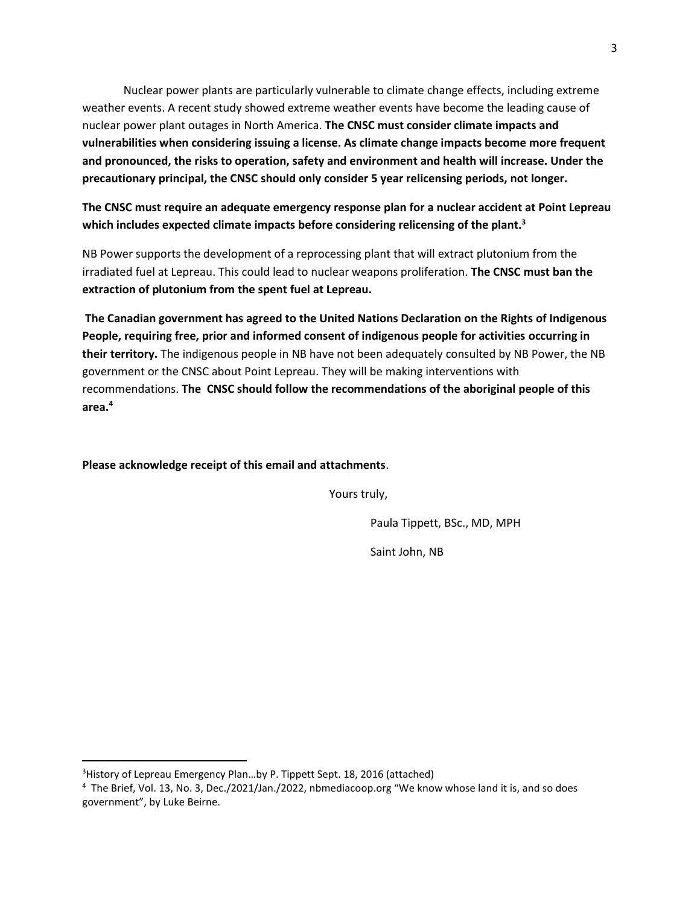Nuclear power plants are particularly vulnerable to climate change effects, including extreme weather events. A recent study showed extreme weather events have become the leading cause of nuclear power plant outages in North America. **The CNSC must consider climate impacts and vulnerabilities when considering issuing a license. As climate change impacts become more frequent and pronounced, the risks to operation, safety and environment and health will increase. Under the precautionary principal, the CNSC should only consider 5 year relicensing periods, not longer.**

**The CNSC must require an adequate emergency response plan for a nuclear accident at Point Lepreau which includes expected climate impacts before considering relicensing of the plant.<sup>3</sup>**

NB Power supports the development of a reprocessing plant that will extract plutonium from the irradiated fuel at Lepreau. This could lead to nuclear weapons proliferation. **The CNSC must ban the extraction of plutonium from the spent fuel at Lepreau.**

**The Canadian government has agreed to the United Nations Declaration on the Rights of Indigenous People, requiring free, prior and informed consent of indigenous people for activities occurring in their territory.** The indigenous people in NB have not been adequately consulted by NB Power, the NB government or the CNSC about Point Lepreau. They will be making interventions with recommendations. **The CNSC should follow the recommendations of the aboriginal people of this area.<sup>4</sup>**

**Please acknowledge receipt of this email and attachments**.

Yours truly,

Paula Tippett, BSc., MD, MPH

Saint John, NB

<sup>&</sup>lt;sup>3</sup> History of Lepreau Emergency Plan...by P. Tippett Sept. 18, 2016 (attached)

<sup>4</sup> The Brief, Vol. 13, No. 3, Dec./2021/Jan./2022, nbmediacoop.org "We know whose land it is, and so does government", by Luke Beirne.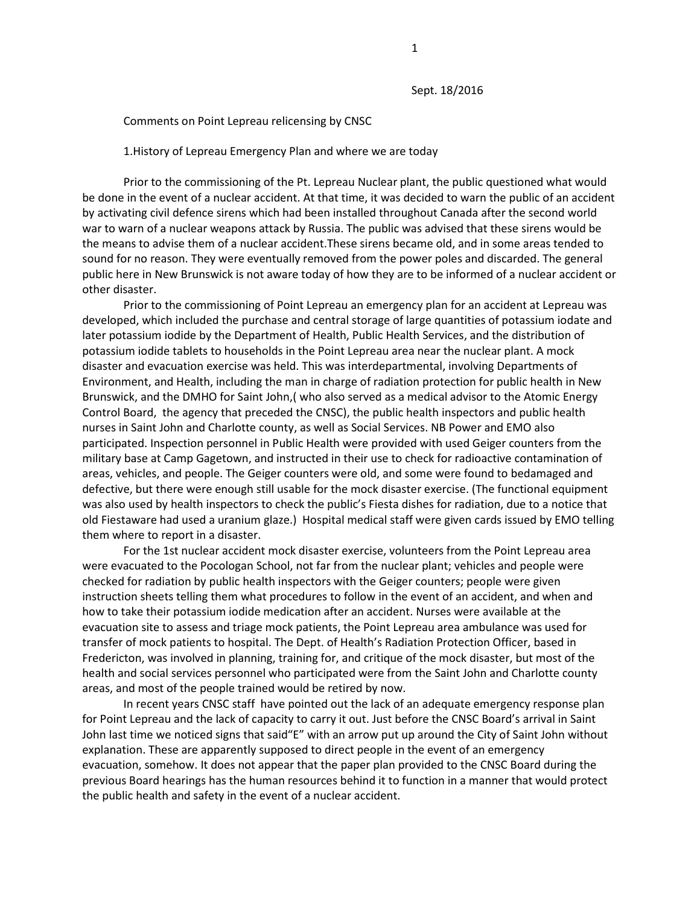Sept. 18/2016

#### Comments on Point Lepreau relicensing by CNSC

#### 1.History of Lepreau Emergency Plan and where we are today

Prior to the commissioning of the Pt. Lepreau Nuclear plant, the public questioned what would be done in the event of a nuclear accident. At that time, it was decided to warn the public of an accident by activating civil defence sirens which had been installed throughout Canada after the second world war to warn of a nuclear weapons attack by Russia. The public was advised that these sirens would be the means to advise them of a nuclear accident.These sirens became old, and in some areas tended to sound for no reason. They were eventually removed from the power poles and discarded. The general public here in New Brunswick is not aware today of how they are to be informed of a nuclear accident or other disaster.

Prior to the commissioning of Point Lepreau an emergency plan for an accident at Lepreau was developed, which included the purchase and central storage of large quantities of potassium iodate and later potassium iodide by the Department of Health, Public Health Services, and the distribution of potassium iodide tablets to households in the Point Lepreau area near the nuclear plant. A mock disaster and evacuation exercise was held. This was interdepartmental, involving Departments of Environment, and Health, including the man in charge of radiation protection for public health in New Brunswick, and the DMHO for Saint John,( who also served as a medical advisor to the Atomic Energy Control Board, the agency that preceded the CNSC), the public health inspectors and public health nurses in Saint John and Charlotte county, as well as Social Services. NB Power and EMO also participated. Inspection personnel in Public Health were provided with used Geiger counters from the military base at Camp Gagetown, and instructed in their use to check for radioactive contamination of areas, vehicles, and people. The Geiger counters were old, and some were found to bedamaged and defective, but there were enough still usable for the mock disaster exercise. (The functional equipment was also used by health inspectors to check the public's Fiesta dishes for radiation, due to a notice that old Fiestaware had used a uranium glaze.) Hospital medical staff were given cards issued by EMO telling them where to report in a disaster.

For the 1st nuclear accident mock disaster exercise, volunteers from the Point Lepreau area were evacuated to the Pocologan School, not far from the nuclear plant; vehicles and people were checked for radiation by public health inspectors with the Geiger counters; people were given instruction sheets telling them what procedures to follow in the event of an accident, and when and how to take their potassium iodide medication after an accident. Nurses were available at the evacuation site to assess and triage mock patients, the Point Lepreau area ambulance was used for transfer of mock patients to hospital. The Dept. of Health's Radiation Protection Officer, based in Fredericton, was involved in planning, training for, and critique of the mock disaster, but most of the health and social services personnel who participated were from the Saint John and Charlotte county areas, and most of the people trained would be retired by now.

 In recent years CNSC staff have pointed out the lack of an adequate emergency response plan for Point Lepreau and the lack of capacity to carry it out. Just before the CNSC Board's arrival in Saint John last time we noticed signs that said"E" with an arrow put up around the City of Saint John without explanation. These are apparently supposed to direct people in the event of an emergency evacuation, somehow. It does not appear that the paper plan provided to the CNSC Board during the previous Board hearings has the human resources behind it to function in a manner that would protect the public health and safety in the event of a nuclear accident.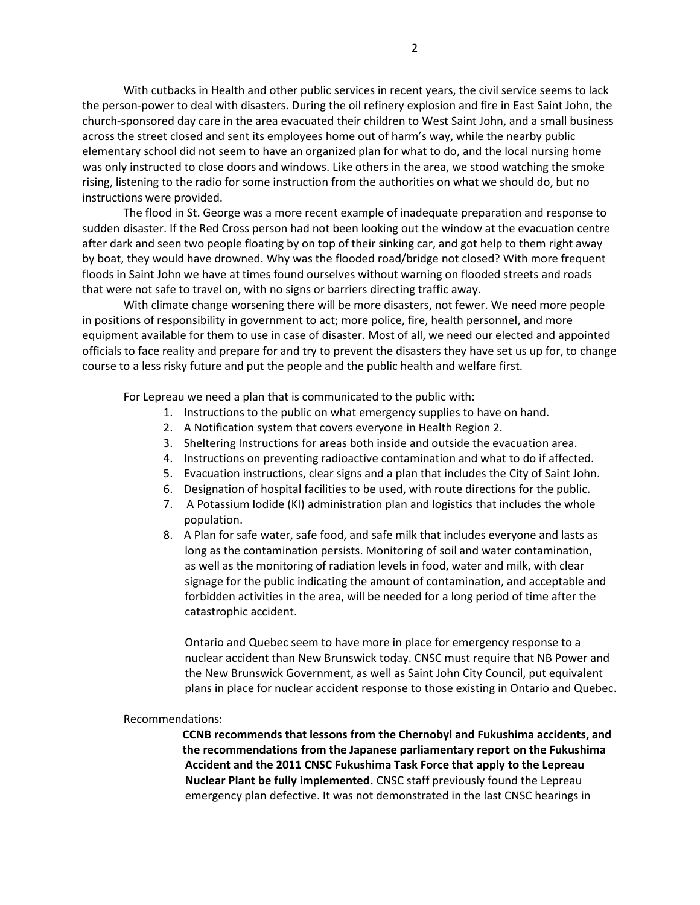With cutbacks in Health and other public services in recent years, the civil service seems to lack the person-power to deal with disasters. During the oil refinery explosion and fire in East Saint John, the church-sponsored day care in the area evacuated their children to West Saint John, and a small business across the street closed and sent its employees home out of harm's way, while the nearby public elementary school did not seem to have an organized plan for what to do, and the local nursing home was only instructed to close doors and windows. Like others in the area, we stood watching the smoke rising, listening to the radio for some instruction from the authorities on what we should do, but no instructions were provided.

 The flood in St. George was a more recent example of inadequate preparation and response to sudden disaster. If the Red Cross person had not been looking out the window at the evacuation centre after dark and seen two people floating by on top of their sinking car, and got help to them right away by boat, they would have drowned. Why was the flooded road/bridge not closed? With more frequent floods in Saint John we have at times found ourselves without warning on flooded streets and roads that were not safe to travel on, with no signs or barriers directing traffic away.

 With climate change worsening there will be more disasters, not fewer. We need more people in positions of responsibility in government to act; more police, fire, health personnel, and more equipment available for them to use in case of disaster. Most of all, we need our elected and appointed officials to face reality and prepare for and try to prevent the disasters they have set us up for, to change course to a less risky future and put the people and the public health and welfare first.

For Lepreau we need a plan that is communicated to the public with:

- 1. Instructions to the public on what emergency supplies to have on hand.
- 2. A Notification system that covers everyone in Health Region 2.
- 3. Sheltering Instructions for areas both inside and outside the evacuation area.
- 4. Instructions on preventing radioactive contamination and what to do if affected.
- 5. Evacuation instructions, clear signs and a plan that includes the City of Saint John.
- 6. Designation of hospital facilities to be used, with route directions for the public.
- 7. A Potassium Iodide (KI) administration plan and logistics that includes the whole population.
- 8. A Plan for safe water, safe food, and safe milk that includes everyone and lasts as long as the contamination persists. Monitoring of soil and water contamination, as well as the monitoring of radiation levels in food, water and milk, with clear signage for the public indicating the amount of contamination, and acceptable and forbidden activities in the area, will be needed for a long period of time after the catastrophic accident.

Ontario and Quebec seem to have more in place for emergency response to a nuclear accident than New Brunswick today. CNSC must require that NB Power and the New Brunswick Government, as well as Saint John City Council, put equivalent plans in place for nuclear accident response to those existing in Ontario and Quebec.

#### Recommendations:

CCNB recommends that lessons from the Chernobyl and Fukushima accidents, and the recommendations from the Japanese parliamentary report on the Fukushima Accident and the 2011 CNSC Fukushima Task Force that apply to the Lepreau Nuclear Plant be fully implemented. CNSC staff previously found the Lepreau emergency plan defective. It was not demonstrated in the last CNSC hearings in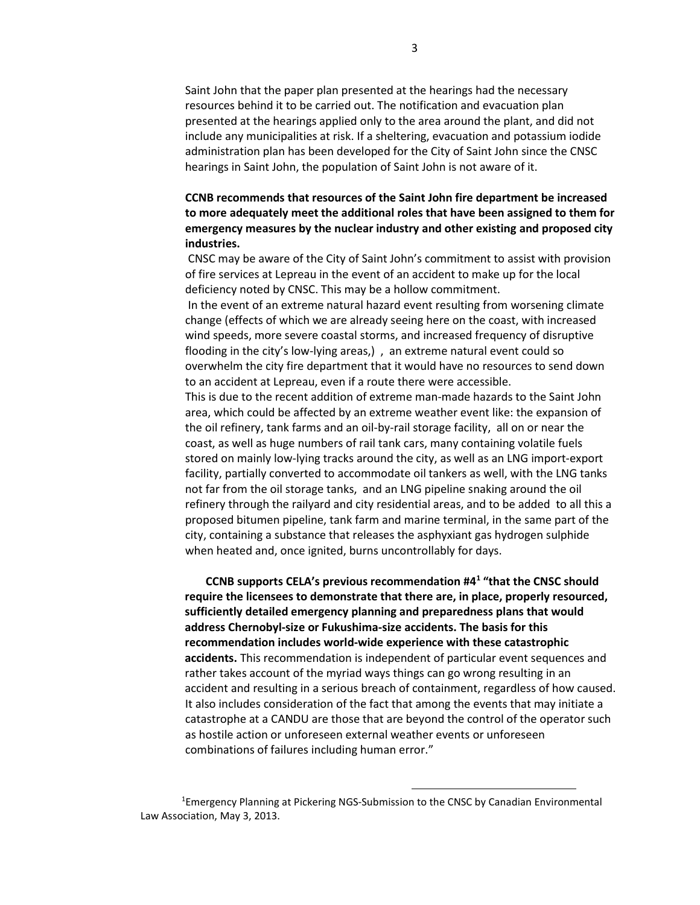Saint John that the paper plan presented at the hearings had the necessary resources behind it to be carried out. The notification and evacuation plan presented at the hearings applied only to the area around the plant, and did not include any municipalities at risk. If a sheltering, evacuation and potassium iodide administration plan has been developed for the City of Saint John since the CNSC hearings in Saint John, the population of Saint John is not aware of it.

### CCNB recommends that resources of the Saint John fire department be increased to more adequately meet the additional roles that have been assigned to them for emergency measures by the nuclear industry and other existing and proposed city industries.

 CNSC may be aware of the City of Saint John's commitment to assist with provision of fire services at Lepreau in the event of an accident to make up for the local deficiency noted by CNSC. This may be a hollow commitment.

 In the event of an extreme natural hazard event resulting from worsening climate change (effects of which we are already seeing here on the coast, with increased wind speeds, more severe coastal storms, and increased frequency of disruptive flooding in the city's low-lying areas,) , an extreme natural event could so overwhelm the city fire department that it would have no resources to send down to an accident at Lepreau, even if a route there were accessible.

This is due to the recent addition of extreme man-made hazards to the Saint John area, which could be affected by an extreme weather event like: the expansion of the oil refinery, tank farms and an oil-by-rail storage facility, all on or near the coast, as well as huge numbers of rail tank cars, many containing volatile fuels stored on mainly low-lying tracks around the city, as well as an LNG import-export facility, partially converted to accommodate oil tankers as well, with the LNG tanks not far from the oil storage tanks, and an LNG pipeline snaking around the oil refinery through the railyard and city residential areas, and to be added to all this a proposed bitumen pipeline, tank farm and marine terminal, in the same part of the city, containing a substance that releases the asphyxiant gas hydrogen sulphide when heated and, once ignited, burns uncontrollably for days.

CCNB supports CELA's previous recommendation #4<sup>1</sup> "that the CNSC should require the licensees to demonstrate that there are, in place, properly resourced, sufficiently detailed emergency planning and preparedness plans that would address Chernobyl-size or Fukushima-size accidents. The basis for this recommendation includes world-wide experience with these catastrophic accidents. This recommendation is independent of particular event sequences and rather takes account of the myriad ways things can go wrong resulting in an accident and resulting in a serious breach of containment, regardless of how caused. It also includes consideration of the fact that among the events that may initiate a catastrophe at a CANDU are those that are beyond the control of the operator such as hostile action or unforeseen external weather events or unforeseen combinations of failures including human error."

<sup>1</sup>Emergency Planning at Pickering NGS-Submission to the CNSC by Canadian Environmental Law Association, May 3, 2013.